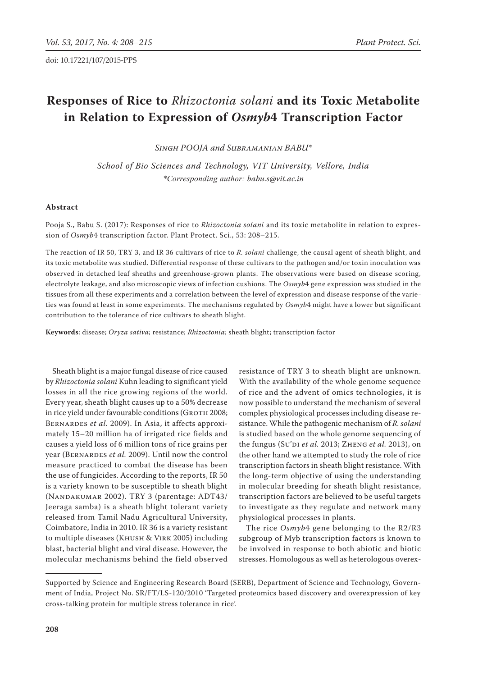# **Responses of Rice to** *Rhizoctonia solani* **and its Toxic Metabolite in Relation to Expression of** *Osmyb***4 Transcription Factor**

*Singh Pooja and Subramanian Babu\**

*School of Bio Sciences and Technology, VIT University, Vellore, India \*Corresponding author: babu.s@vit.ac.in*

## **Abstract**

Pooja S., Babu S. (2017): Responses of rice to *Rhizoctonia solani* and its toxic metabolite in relation to expression of *Osmyb*4 transcription factor. Plant Protect. Sci., 53: 208–215.

The reaction of IR 50, TRY 3, and IR 36 cultivars of rice to *R. solani* challenge, the causal agent of sheath blight, and its toxic metabolite was studied. Differential response of these cultivars to the pathogen and/or toxin inoculation was observed in detached leaf sheaths and greenhouse-grown plants. The observations were based on disease scoring, electrolyte leakage, and also microscopic views of infection cushions. The *Osmyb*4 gene expression was studied in the tissues from all these experiments and a correlation between the level of expression and disease response of the varieties was found at least in some experiments. The mechanisms regulated by *Osmyb*4 might have a lower but significant contribution to the tolerance of rice cultivars to sheath blight.

**Keywords**: disease; *Oryza sativa*; resistance; *Rhizoctonia*; sheath blight; transcription factor

Sheath blight is a major fungal disease of rice caused by *Rhizoctonia solani* Kuhn leading to significant yield losses in all the rice growing regions of the world. Every year, sheath blight causes up to a 50% decrease in rice yield under favourable conditions (GROTH 2008; BERNARDES *et al.* 2009). In Asia, it affects approximately 15–20 million ha of irrigated rice fields and causes a yield loss of 6 million tons of rice grains per year (Bernardes *et al.* 2009). Until now the control measure practiced to combat the disease has been the use of fungicides. According to the reports, IR 50 is a variety known to be susceptible to sheath blight (Nandakumar 2002). TRY 3 (parentage: ADT43/ Jeeraga samba) is a sheath blight tolerant variety released from Tamil Nadu Agricultural University, Coimbatore, India in 2010. IR 36 is a variety resistant to multiple diseases (Khush & Virk 2005) including blast, bacterial blight and viral disease. However, the molecular mechanisms behind the field observed

resistance of TRY 3 to sheath blight are unknown. With the availability of the whole genome sequence of rice and the advent of omics technologies, it is now possible to understand the mechanism of several complex physiological processes including disease resistance. While the pathogenic mechanism of *R. solani* is studied based on the whole genome sequencing of the fungus (Su'di *et al.* 2013; Zheng *et al.* 2013), on the other hand we attempted to study the role of rice transcription factors in sheath blight resistance. With the long-term objective of using the understanding in molecular breeding for sheath blight resistance, transcription factors are believed to be useful targets to investigate as they regulate and network many physiological processes in plants.

The rice *Osmyb*4 gene belonging to the R2/R3 subgroup of Myb transcription factors is known to be involved in response to both abiotic and biotic stresses. Homologous as well as heterologous overex-

Supported by Science and Engineering Research Board (SERB), Department of Science and Technology, Government of India, Project No. SR/FT/LS-120/2010 'Targeted proteomics based discovery and overexpression of key cross-talking protein for multiple stress tolerance in rice'.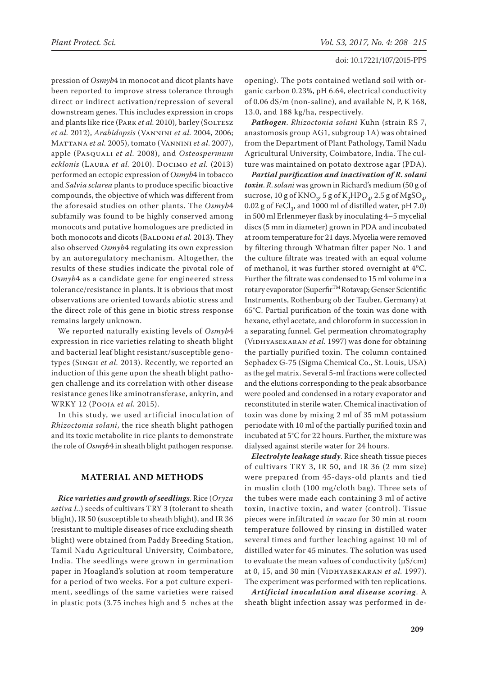pression of *Osmyb*4 in monocot and dicot plants have been reported to improve stress tolerance through direct or indirect activation/repression of several downstream genes. This includes expression in crops and plants like rice (PARK et al. 2010), barley (SOLTESZ *et al.* 2012), *Arabidopsis* (Vannini *et al.* 2004, 2006; Mattana *et al.* 2005), tomato (Vannini *et al*. 2007), apple (Pasquali *et al.* 2008), and *Osteospermum ecklonis* (Laura *et al.* 2010). Docimo *et al.* (2013) performed an ectopic expression of *Osmyb*4 in tobacco and *Salvia sclarea* plants to produce specific bioactive compounds, the objective of which was different from the aforesaid studies on other plants. The *Osmyb*4 subfamily was found to be highly conserved among monocots and putative homologues are predicted in both monocots and dicots (BALDONI *et al.* 2013). They also observed *Osmyb*4 regulating its own expression by an autoregulatory mechanism. Altogether, the results of these studies indicate the pivotal role of *Osmyb*4 as a candidate gene for engineered stress tolerance/resistance in plants. It is obvious that most observations are oriented towards abiotic stress and the direct role of this gene in biotic stress response remains largely unknown.

We reported naturally existing levels of *Osmyb*4 expression in rice varieties relating to sheath blight and bacterial leaf blight resistant/susceptible genotypes (Singh *et al.* 2013). Recently, we reported an induction of this gene upon the sheath blight pathogen challenge and its correlation with other disease resistance genes like aminotransferase, ankyrin, and WRKY 12 (Pooja *et al.* 2015).

In this study, we used artificial inoculation of *Rhizoctonia solani*, the rice sheath blight pathogen and its toxic metabolite in rice plants to demonstrate the role of *Osmyb*4 in sheath blight pathogen response.

## **Material and Methods**

*Rice varieties and growth of seedlings*. Rice (*Oryza sativa L.*) seeds of cultivars TRY 3 (tolerant to sheath blight), IR 50 (susceptible to sheath blight), and IR 36 (resistant to multiple diseases of rice excluding sheath blight) were obtained from Paddy Breeding Station, Tamil Nadu Agricultural University, Coimbatore, India. The seedlings were grown in germination paper in Hoagland's solution at room temperature for a period of two weeks. For a pot culture experiment, seedlings of the same varieties were raised in plastic pots (3.75 inches high and 5 nches at the

opening). The pots contained wetland soil with organic carbon 0.23%, pH 6.64, electrical conductivity of 0.06 dS/m (non-saline), and available N, P, K 168, 13.0, and 188 kg/ha, respectively.

*Pathogen*. *Rhizoctonia solani* Kuhn (strain RS 7, anastomosis group AG1, subgroup 1A) was obtained from the Department of Plant Pathology, Tamil Nadu Agricultural University, Coimbatore, India. The culture was maintained on potato dextrose agar (PDA).

*Partial purification and inactivation of R. solani toxin*. *R*. *solani* was grown in Richard's medium (50 g of sucrose, 10 g of  $\text{KNO}_3$ , 5 g of  $\text{K}_2\text{HPO}_4$ , 2.5 g of  $\text{MgSO}_4$ ,  $0.02$  g of FeCl<sub>2</sub>, and 1000 ml of distilled water, pH 7.0) in 500 ml Erlenmeyer flask by inoculating 4–5 mycelial discs (5 mm in diameter) grown in PDA and incubated at room temperature for 21 days. Mycelia were removed by filtering through Whatman filter paper No. 1 and the culture filtrate was treated with an equal volume of methanol, it was further stored overnight at  $4^{\circ}$ C. Further the filtrate was condensed to 15 ml volume in a rotary evaporator (Superfir™ Rotavap; Genser Scientific Instruments, Rothenburg ob der Tauber, Germany) at 65°C. Partial purification of the toxin was done with hexane, ethyl acetate, and chloroform in succession in a separating funnel. Gel permeation chromatography (VIDHYASEKARAN *et al.* 1997) was done for obtaining the partially purified toxin. The column contained Sephadex G-75 (Sigma Chemical Co., St. Louis, USA) as the gel matrix. Several 5-ml fractions were collected and the elutions corresponding to the peak absorbance were pooled and condensed in a rotary evaporator and reconstituted in sterile water. Chemical inactivation of toxin was done by mixing 2 ml of 35 mM potassium periodate with 10 ml of the partially purified toxin and incubated at 5°C for 22 hours. Further, the mixture was dialysed against sterile water for 24 hours.

*Electrolyte leakage study*. Rice sheath tissue pieces of cultivars TRY 3, IR 50, and IR 36 (2 mm size) were prepared from 45-days-old plants and tied in muslin cloth (100 mg/cloth bag). Three sets of the tubes were made each containing 3 ml of active toxin, inactive toxin, and water (control). Tissue pieces were infiltrated *in vacuo* for 30 min at room temperature followed by rinsing in distilled water several times and further leaching against 10 ml of distilled water for 45 minutes. The solution was used to evaluate the mean values of conductivity (µS/cm) at 0, 15, and 30 min (VIDHYASEKARAN *et al.* 1997). The experiment was performed with ten replications.

*Artificial inoculation and disease scoring*. A sheath blight infection assay was performed in de-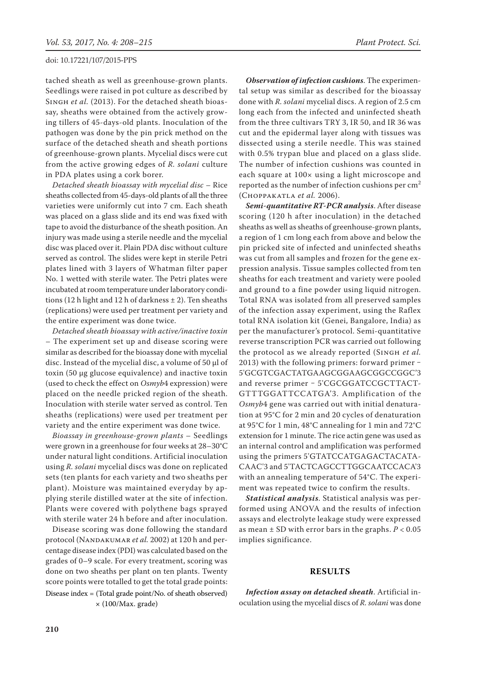tached sheath as well as greenhouse-grown plants. Seedlings were raised in pot culture as described by SINGH *et al.* (2013). For the detached sheath bioassay, sheaths were obtained from the actively growing tillers of 45-days-old plants. Inoculation of the pathogen was done by the pin prick method on the surface of the detached sheath and sheath portions of greenhouse-grown plants. Mycelial discs were cut from the active growing edges of *R. solani* culture in PDA plates using a cork borer.

*Detached sheath bioassay with mycelial disc* – Rice sheaths collected from 45-days-old plants of all the three varieties were uniformly cut into 7 cm. Each sheath was placed on a glass slide and its end was fixed with tape to avoid the disturbance of the sheath position. An injury was made using a sterile needle and the mycelial disc was placed over it. Plain PDA disc without culture served as control. The slides were kept in sterile Petri plates lined with 3 layers of Whatman filter paper No. 1 wetted with sterile water. The Petri plates were incubated at room temperature under laboratory conditions (12 h light and 12 h of darkness  $\pm$  2). Ten sheaths (replications) were used per treatment per variety and the entire experiment was done twice.

*Detached sheath bioassay with active/inactive toxin* – The experiment set up and disease scoring were similar as described for the bioassay done with mycelial disc. Instead of the mycelial disc, a volume of 50 µl of toxin (50 µg glucose equivalence) and inactive toxin (used to check the effect on *Osmyb*4 expression) were placed on the needle pricked region of the sheath. Inoculation with sterile water served as control. Ten sheaths (replications) were used per treatment per variety and the entire experiment was done twice.

*Bioassay in greenhouse-grown plants* – Seedlings were grown in a greenhouse for four weeks at 28–30°C under natural light conditions. Artificial inoculation using *R. solani* mycelial discs was done on replicated sets (ten plants for each variety and two sheaths per plant). Moisture was maintained everyday by applying sterile distilled water at the site of infection. Plants were covered with polythene bags sprayed with sterile water 24 h before and after inoculation.

Disease scoring was done following the standard protocol (Nandakumar *et al.* 2002) at 120 h and percentage disease index (PDI) was calculated based on the grades of 0–9 scale. For every treatment, scoring was done on two sheaths per plant on ten plants. Twenty score points were totalled to get the total grade points: Disease index = (Total grade point/No. of sheath observed) × (100/Max. grade)

*Observation of infection cushions*. The experimental setup was similar as described for the bioassay done with *R. solani* mycelial discs. A region of 2.5 cm long each from the infected and uninfected sheath from the three cultivars TRY 3, IR 50, and IR 36 was cut and the epidermal layer along with tissues was dissected using a sterile needle. This was stained with 0.5% trypan blue and placed on a glass slide. The number of infection cushions was counted in each square at 100× using a light microscope and reported as the number of infection cushions per  $cm<sup>2</sup>$ (Choppakatla *et al.* 2006).

*Semi-quantitative RT-PCR analysis*. After disease scoring (120 h after inoculation) in the detached sheaths as well as sheaths of greenhouse-grown plants, a region of 1 cm long each from above and below the pin pricked site of infected and uninfected sheaths was cut from all samples and frozen for the gene expression analysis. Tissue samples collected from ten sheaths for each treatment and variety were pooled and ground to a fine powder using liquid nitrogen. Total RNA was isolated from all preserved samples of the infection assay experiment, using the Raflex total RNA isolation kit (Genei, Bangalore, India) as per the manufacturer's protocol. Semi-quantitative reverse transcription PCR was carried out following the protocol as we already reported (Singh *et al.*  $2013$ ) with the following primers: forward primer – 5'GCGTCGACTATGAAGCGGAAGCGGCCGGC'3 and reverse primer - 5'CGCGGATCCGCTTACT-GTTTGGATTCCATGA'3. Amplification of the *Osmyb*4 gene was carried out with initial denaturation at 95°C for 2 min and 20 cycles of denaturation at 95°C for 1 min, 48°C annealing for 1 min and 72°C extension for 1 minute. The rice actin gene was used as an internal control and amplification was performed using the primers 5'GTATCCATGAGACTACATA-CAAC'3 and 5'TACTCAGCCTTGGCAATCCACA'3 with an annealing temperature of 54°C. The experiment was repeated twice to confirm the results.

*Statistical analysis*. Statistical analysis was performed using ANOVA and the results of infection assays and electrolyte leakage study were expressed as mean ± SD with error bars in the graphs. *P* < 0.05 implies significance.

#### **Results**

*Infection assay on detached sheath*. Artificial inoculation using the mycelial discs of *R. solani* was done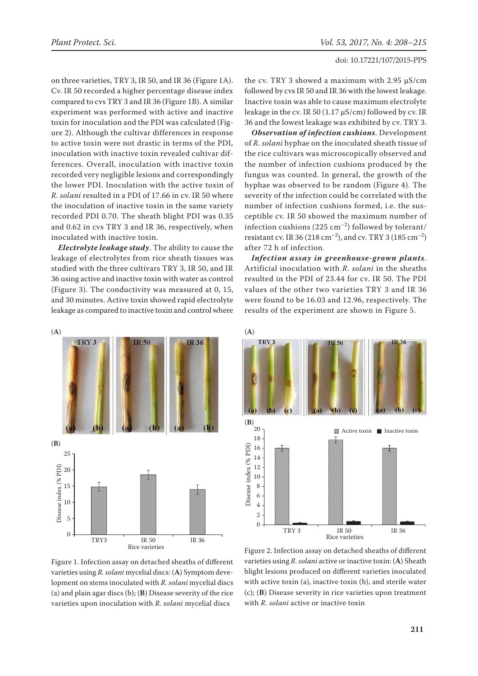on three varieties, TRY 3, IR 50, and IR 36 (Figure 1A). Cv. IR 50 recorded a higher percentage disease index compared to cvs TRY 3 and IR 36 (Figure 1B). A similar experiment was performed with active and inactive toxin for inoculation and the PDI was calculated (Figure 2). Although the cultivar differences in response to active toxin were not drastic in terms of the PDI, inoculation with inactive toxin revealed cultivar differences. Overall, inoculation with inactive toxin recorded very negligible lesions and correspondingly the lower PDI. Inoculation with the active toxin of *R. solani* resulted in a PDI of 17.66 in cv. IR 50 where the inoculation of inactive toxin in the same variety recorded PDI 0.70. The sheath blight PDI was 0.35 and 0.62 in cvs TRY 3 and IR 36, respectively, when inoculated with inactive toxin.

*Electrolyte leakage study*. The ability to cause the leakage of electrolytes from rice sheath tissues was studied with the three cultivars TRY 3, IR 50, and IR 36 using active and inactive toxin with water as control (Figure 3). The conductivity was measured at 0, 15, and 30 minutes. Active toxin showed rapid electrolyte leakage as compared to inactive toxin and control where



the cv. TRY 3 showed a maximum with 2.95 µS/cm followed by cvs IR 50 and IR 36 with the lowest leakage. Inactive toxin was able to cause maximum electrolyte leakage in the cv. IR 50 (1.17  $\mu$ S/cm) followed by cv. IR 36 and the lowest leakage was exhibited by cv. TRY 3.

*Observation of infection cushions*. Development of *R. solani* hyphae on the inoculated sheath tissue of the rice cultivars was microscopically observed and the number of infection cushions produced by the fungus was counted. In general, the growth of the hyphae was observed to be random (Figure 4). The severity of the infection could be correlated with the number of infection cushions formed, i.e. the susceptible cv. IR 50 showed the maximum number of infection cushions (225 cm<sup>-2</sup>) followed by tolerant/ resistant cv. IR 36 (218 cm<sup>-2</sup>), and cv. TRY 3 (185 cm<sup>-2</sup>) after 72 h of infection.

*Infection assay in greenhouse-grown plants*. Artificial inoculation with *R. solani* in the sheaths resulted in the PDI of 23.44 for cv. IR 50. The PDI values of the other two varieties TRY 3 and IR 36 were found to be 16.03 and 12.96, respectively. The results of the experiment are shown in Figure 5.



Figure 1. Infection assay on detached sheaths of different varieties using *R. solani* mycelial discs: (**A**) Symptom development on stems inoculated with *R. solani* mycelial discs (a) and plain agar discs (b); (**B**) Disease severity of the rice varieties upon inoculation with *R. solani* mycelial discs

Figure 2. Infection assay on detached sheaths of different varieties using *R. solani* active or inactive toxin: (**A**) Sheath blight lesions produced on different varieties inoculated with active toxin (a), inactive toxin (b), and sterile water (c); (**B**) Disease severity in rice varieties upon treatment with *R. solani* active or inactive toxin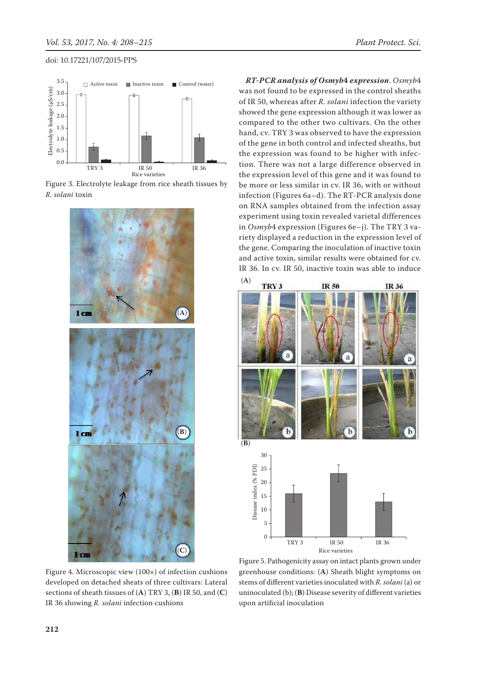





Figure 4. Microscopic view (100×) of infection cushions developed on detached sheats of three cultivars: Lateral sections of sheath tissues of (**A**) TRY 3, (**B**) IR 50, and (**C**) IR 36 showing *R. solani* infection cushions

*RT-PCR analysis of Osmyb***4** *expression*. *Osmyb*4 was not found to be expressed in the control sheaths of IR 50, whereas after *R. solani* infection the variety showed the gene expression although it was lower as compared to the other two cultivars. On the other hand, cv. TRY 3 was observed to have the expression of the gene in both control and infected sheaths, but the expression was found to be higher with infection. There was not a large difference observed in the expression level of this gene and it was found to be more or less similar in cv. IR 36, with or without infection (Figures 6a–d). The RT-PCR analysis done on RNA samples obtained from the infection assay experiment using toxin revealed varietal differences in *Osmyb*4 expression (Figures 6e–j). The TRY 3 variety displayed a reduction in the expression level of the gene. Comparing the inoculation of inactive toxin and active toxin, similar results were obtained for cv. IR 36. In cv. IR 50, inactive toxin was able to induce



Figure 5. Pathogenicity assay on intact plants grown under greenhouse conditions: (**A**) Sheath blight symptoms on stems of different varieties inoculated with *R. solani* (a) or uninoculated (b); (**B**) Disease severity of different varieties upon artificial inoculation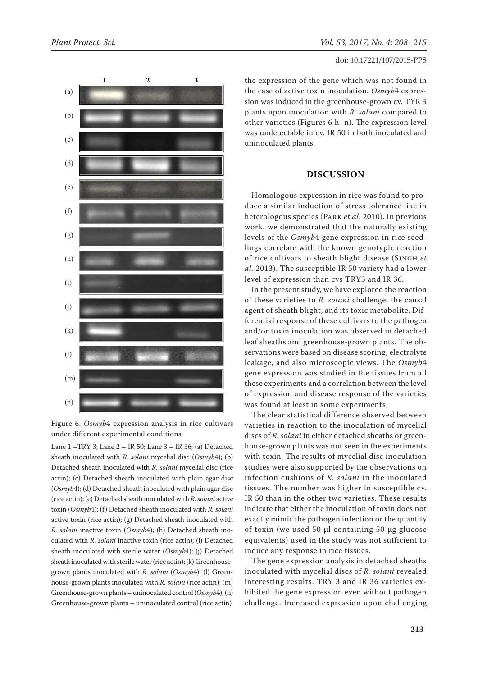

Figure 6. *Osmyb*4 expression analysis in rice cultivars under different experimental conditions

Lane 1 –TRY 3; Lane 2 – IR 50; Lane 3 – IR 36; (a) Detached sheath inoculated with *R. solani* mycelial disc (*Osmyb*4); (b) Detached sheath inoculated with *R. solani* mycelial disc (rice actin); (c) Detached sheath inoculated with plain agar disc (*Osmyb*4); (d) Detached sheath inoculated with plain agar disc (rice actin); (e) Detached sheath inoculated with *R. solani* active toxin (*Osmyb*4); (f) Detached sheath inoculated with *R. solani* active toxin (rice actin); (g) Detached sheath inoculated with *R. solani* inactive toxin (*Osmyb*4); (h) Detached sheath inoculated with *R. solani* inactive toxin (rice actin); (i) Detached sheath inoculated with sterile water (*Osmyb*4); (j) Detached sheath inoculated with sterile water (rice actin); (k) Greenhousegrown plants inoculated with *R. solani* (*Osmyb*4); (l) Greenhouse-grown plants inoculated with *R. solani* (rice actin); (m) Greenhouse-grown plants – uninoculated control (*Osmyb*4); (n) Greenhouse-grown plants – uninoculated control (rice actin)

the expression of the gene which was not found in the case of active toxin inoculation. *Osmyb*4 expression was induced in the greenhouse-grown cv. TYR 3 plants upon inoculation with *R. solani* compared to other varieties (Figures 6 h–n). The expression level was undetectable in cv. IR 50 in both inoculated and uninoculated plants.

# **Discussion**

Homologous expression in rice was found to produce a similar induction of stress tolerance like in heterologous species (Park *et al.* 2010). In previous work, we demonstrated that the naturally existing levels of the *Osmyb*4 gene expression in rice seedlings correlate with the known genotypic reaction of rice cultivars to sheath blight disease (Singh *et al.* 2013). The susceptible IR 50 variety had a lower level of expression than cvs TRY3 and IR 36.

In the present study, we have explored the reaction of these varieties to *R. solani* challenge, the causal agent of sheath blight, and its toxic metabolite. Differential response of these cultivars to the pathogen and/or toxin inoculation was observed in detached leaf sheaths and greenhouse-grown plants. The observations were based on disease scoring, electrolyte leakage, and also microscopic views. The *Osmyb*4 gene expression was studied in the tissues from all these experiments and a correlation between the level of expression and disease response of the varieties was found at least in some experiments.

The clear statistical difference observed between varieties in reaction to the inoculation of mycelial discs of *R. solani* in either detached sheaths or greenhouse-grown plants was not seen in the experiments with toxin. The results of mycelial disc inoculation studies were also supported by the observations on infection cushions of *R. solani* in the inoculated tissues. The number was higher in susceptible cv. IR 50 than in the other two varieties. These results indicate that either the inoculation of toxin does not exactly mimic the pathogen infection or the quantity of toxin (we used 50 µl containing 50 µg glucose equivalents) used in the study was not sufficient to induce any response in rice tissues.

The gene expression analysis in detached sheaths inoculated with mycelial discs of *R. solani* revealed interesting results. TRY 3 and IR 36 varieties exhibited the gene expression even without pathogen challenge. Increased expression upon challenging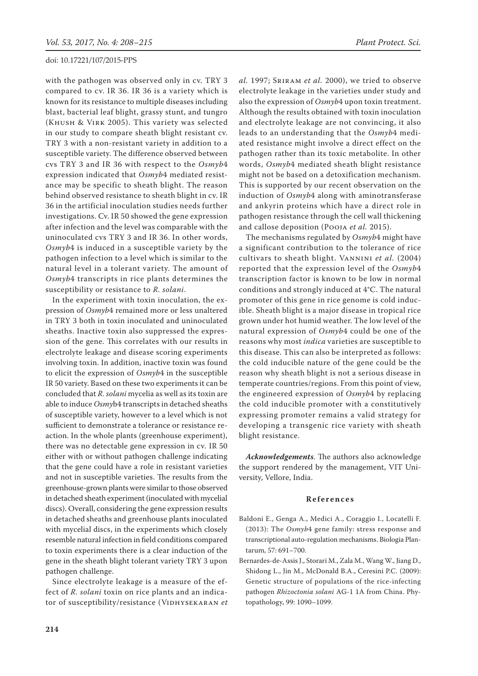with the pathogen was observed only in cv. TRY 3 compared to cv. IR 36. IR 36 is a variety which is known for its resistance to multiple diseases including blast, bacterial leaf blight, grassy stunt, and tungro (Khush & Virk 2005). This variety was selected in our study to compare sheath blight resistant cv. TRY 3 with a non-resistant variety in addition to a susceptible variety. The difference observed between cvs TRY 3 and IR 36 with respect to the *Osmyb*4 expression indicated that *Osmyb*4 mediated resistance may be specific to sheath blight. The reason behind observed resistance to sheath blight in cv. IR 36 in the artificial inoculation studies needs further investigations. Cv. IR 50 showed the gene expression after infection and the level was comparable with the uninoculated cvs TRY 3 and IR 36. In other words, *Osmyb*4 is induced in a susceptible variety by the pathogen infection to a level which is similar to the natural level in a tolerant variety. The amount of *Osmyb*4 transcripts in rice plants determines the susceptibility or resistance to *R. solani*.

In the experiment with toxin inoculation, the expression of *Osmyb*4 remained more or less unaltered in TRY 3 both in toxin inoculated and uninoculated sheaths. Inactive toxin also suppressed the expression of the gene. This correlates with our results in electrolyte leakage and disease scoring experiments involving toxin. In addition, inactive toxin was found to elicit the expression of *Osmyb*4 in the susceptible IR 50 variety. Based on these two experiments it can be concluded that *R. solani* mycelia as well as its toxin are able to induce *Osmy*b4 transcripts in detached sheaths of susceptible variety, however to a level which is not sufficient to demonstrate a tolerance or resistance reaction. In the whole plants (greenhouse experiment), there was no detectable gene expression in cv. IR 50 either with or without pathogen challenge indicating that the gene could have a role in resistant varieties and not in susceptible varieties. The results from the greenhouse-grown plants were similar to those observed in detached sheath experiment (inoculated with mycelial discs). Overall, considering the gene expression results in detached sheaths and greenhouse plants inoculated with mycelial discs, in the experiments which closely resemble natural infection in field conditions compared to toxin experiments there is a clear induction of the gene in the sheath blight tolerant variety TRY 3 upon pathogen challenge.

Since electrolyte leakage is a measure of the effect of *R. solani* toxin on rice plants and an indicator of susceptibility/resistance (VIDHYSEKARAN et

*al.* 1997; Sriram *et al.* 2000), we tried to observe electrolyte leakage in the varieties under study and also the expression of *Osmyb*4 upon toxin treatment. Although the results obtained with toxin inoculation and electrolyte leakage are not convincing, it also leads to an understanding that the *Osmyb*4 mediated resistance might involve a direct effect on the pathogen rather than its toxic metabolite. In other words, *Osmyb*4 mediated sheath blight resistance might not be based on a detoxification mechanism. This is supported by our recent observation on the induction of *Osmyb*4 along with aminotransferase and ankyrin proteins which have a direct role in pathogen resistance through the cell wall thickening and callose deposition (Pooja *et al.* 2015).

The mechanisms regulated by *Osmyb*4 might have a significant contribution to the tolerance of rice cultivars to sheath blight. Vannini *et al.* (2004) reported that the expression level of the *Osmyb*4 transcription factor is known to be low in normal conditions and strongly induced at 4°C. The natural promoter of this gene in rice genome is cold inducible. Sheath blight is a major disease in tropical rice grown under hot humid weather. The low level of the natural expression of *Osmyb*4 could be one of the reasons why most *indica* varieties are susceptible to this disease. This can also be interpreted as follows: the cold inducible nature of the gene could be the reason why sheath blight is not a serious disease in temperate countries/regions. From this point of view, the engineered expression of *Osmyb*4 by replacing the cold inducible promoter with a constitutively expressing promoter remains a valid strategy for developing a transgenic rice variety with sheath blight resistance.

*Acknowledgements*. The authors also acknowledge the support rendered by the management, VIT University, Vellore, India.

## **References**

- Baldoni E., Genga A., Medici A., Coraggio I., Locatelli F. (2013): The *Osmyb*4 gene family: stress response and transcriptional auto-regulation mechanisms. Biologia Plantarum, 57: 691–700.
- Bernardes-de-Assis J., Storari M., Zala M., Wang W., Jiang D., Shidong L., Jin M., McDonald B.A., Ceresini P.C. (2009): Genetic structure of populations of the rice-infecting pathogen *Rhizoctonia solani* AG-1 1A from China. Phytopathology, 99: 1090–1099.